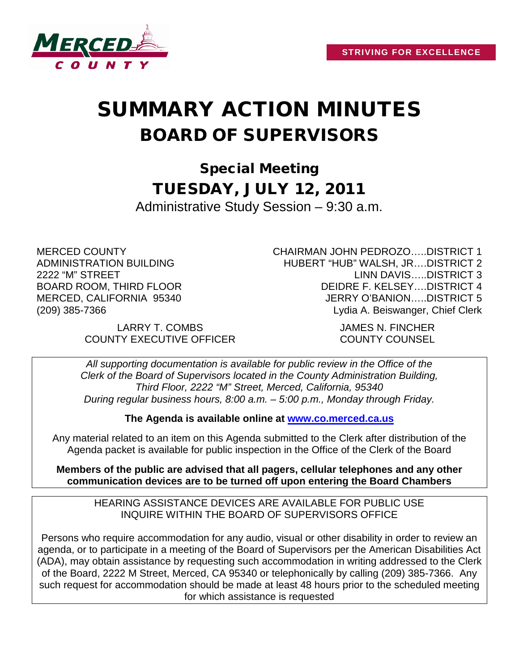

## SUMMARY ACTION MINUTES BOARD OF SUPERVISORS

Special Meeting TUESDAY, JULY 12, 2011 Administrative Study Session – 9:30 a.m.

MERCED COUNTY ADMINISTRATION BUILDING 2222 "M" STREET BOARD ROOM, THIRD FLOOR MERCED, CALIFORNIA 95340 (209) 385-7366

> LARRY T. COMBS JAMES N. FINCHER COUNTY EXECUTIVE OFFICER COUNTY COUNSEL

CHAIRMAN JOHN PEDROZO…..DISTRICT 1 HUBERT "HUB" WALSH, JR….DISTRICT 2 LINN DAVIS…..DISTRICT 3 DEIDRE F. KELSEY….DISTRICT 4 JERRY O'BANION…..DISTRICT 5 Lydia A. Beiswanger, Chief Clerk

*All supporting documentation is available for public review in the Office of the Clerk of the Board of Supervisors located in the County Administration Building, Third Floor, 2222 "M" Street, Merced, California, 95340 During regular business hours, 8:00 a.m. – 5:00 p.m., Monday through Friday.*

**The Agenda is available online at [www.co.merced.ca.us](http://www.co.merced.ca.us/)**

Any material related to an item on this Agenda submitted to the Clerk after distribution of the Agenda packet is available for public inspection in the Office of the Clerk of the Board

**Members of the public are advised that all pagers, cellular telephones and any other communication devices are to be turned off upon entering the Board Chambers**

HEARING ASSISTANCE DEVICES ARE AVAILABLE FOR PUBLIC USE INQUIRE WITHIN THE BOARD OF SUPERVISORS OFFICE

Persons who require accommodation for any audio, visual or other disability in order to review an agenda, or to participate in a meeting of the Board of Supervisors per the American Disabilities Act (ADA), may obtain assistance by requesting such accommodation in writing addressed to the Clerk of the Board, 2222 M Street, Merced, CA 95340 or telephonically by calling (209) 385-7366. Any such request for accommodation should be made at least 48 hours prior to the scheduled meeting for which assistance is requested